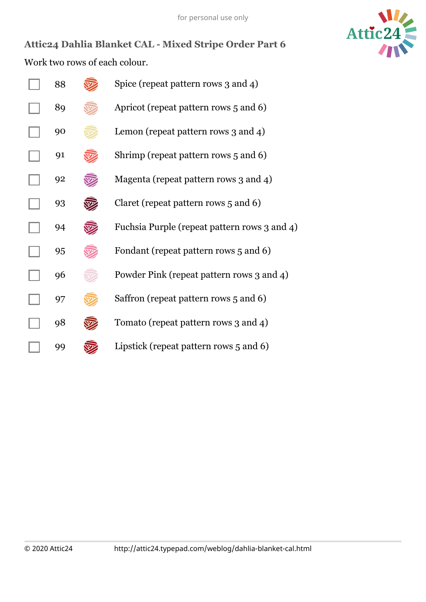

**Attic24 Dahlia Blanket CAL Mixed Stripe Order Part 6** Work two rows of each colour.

| 88 | Spice (repeat pattern rows 3 and 4)          |
|----|----------------------------------------------|
| 89 | Apricot (repeat pattern rows 5 and 6)        |
| 90 | Lemon (repeat pattern rows 3 and 4)          |
| 91 | Shrimp (repeat pattern rows 5 and 6)         |
| 92 | Magenta (repeat pattern rows 3 and 4)        |
| 93 | Claret (repeat pattern rows 5 and 6)         |
| 94 | Fuchsia Purple (repeat pattern rows 3 and 4) |
| 95 | Fondant (repeat pattern rows 5 and 6)        |
| 96 | Powder Pink (repeat pattern rows 3 and 4)    |
| 97 | Saffron (repeat pattern rows 5 and 6)        |
| 98 | Tomato (repeat pattern rows 3 and 4)         |
| 99 | Lipstick (repeat pattern rows 5 and 6)       |